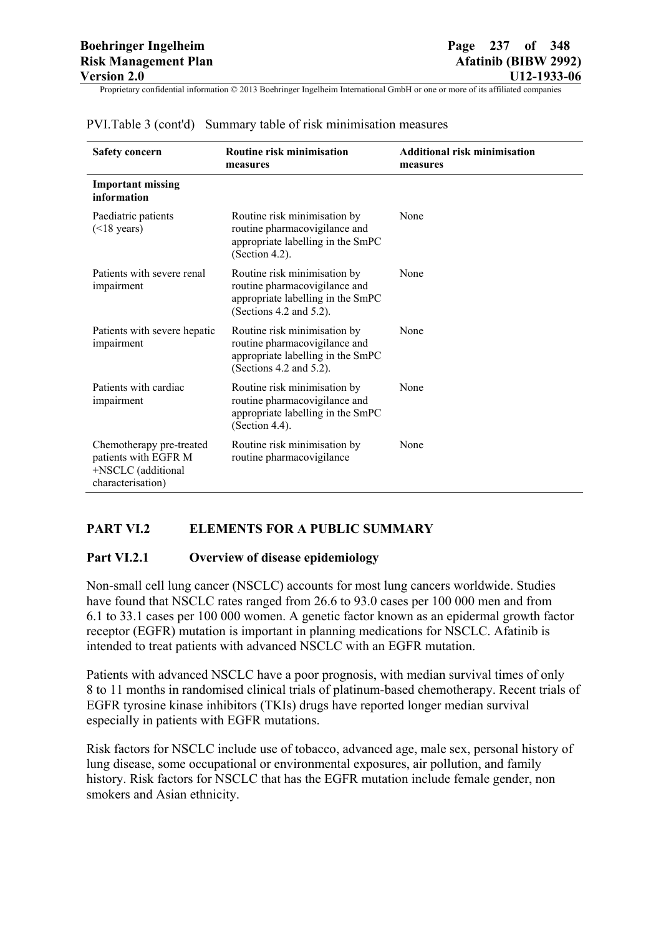| <b>Safety concern</b>                                                                       | Routine risk minimisation<br>measures                                                                                         | <b>Additional risk minimisation</b><br>measures |
|---------------------------------------------------------------------------------------------|-------------------------------------------------------------------------------------------------------------------------------|-------------------------------------------------|
| <b>Important missing</b><br>information                                                     |                                                                                                                               |                                                 |
| Paediatric patients<br>$(\leq 18$ years)                                                    | Routine risk minimisation by<br>routine pharmacovigilance and<br>appropriate labelling in the SmPC<br>(Section 4.2).          | None                                            |
| Patients with severe renal<br>impairment                                                    | Routine risk minimisation by<br>routine pharmacovigilance and<br>appropriate labelling in the SmPC<br>(Sections 4.2 and 5.2). | None                                            |
| Patients with severe hepatic<br>impairment                                                  | Routine risk minimisation by<br>routine pharmacovigilance and<br>appropriate labelling in the SmPC<br>(Sections 4.2 and 5.2). | None                                            |
| Patients with cardiac<br>impairment                                                         | Routine risk minimisation by<br>routine pharmacovigilance and<br>appropriate labelling in the SmPC<br>(Section 4.4).          | None                                            |
| Chemotherapy pre-treated<br>patients with EGFR M<br>+NSCLC (additional<br>characterisation) | Routine risk minimisation by<br>routine pharmacovigilance                                                                     | None                                            |

## PVI.Table 3 (cont'd) Summary table of risk minimisation measures

## **PART VI.2 ELEMENTS FOR A PUBLIC SUMMARY**

#### **Part VI.2.1 Overview of disease epidemiology**

Non-small cell lung cancer (NSCLC) accounts for most lung cancers worldwide. Studies have found that NSCLC rates ranged from 26.6 to 93.0 cases per 100 000 men and from 6.1 to 33.1 cases per 100 000 women. A genetic factor known as an epidermal growth factor receptor (EGFR) mutation is important in planning medications for NSCLC. Afatinib is intended to treat patients with advanced NSCLC with an EGFR mutation.

Patients with advanced NSCLC have a poor prognosis, with median survival times of only 8 to 11 months in randomised clinical trials of platinum-based chemotherapy. Recent trials of EGFR tyrosine kinase inhibitors (TKIs) drugs have reported longer median survival especially in patients with EGFR mutations.

Risk factors for NSCLC include use of tobacco, advanced age, male sex, personal history of lung disease, some occupational or environmental exposures, air pollution, and family history. Risk factors for NSCLC that has the EGFR mutation include female gender, non smokers and Asian ethnicity.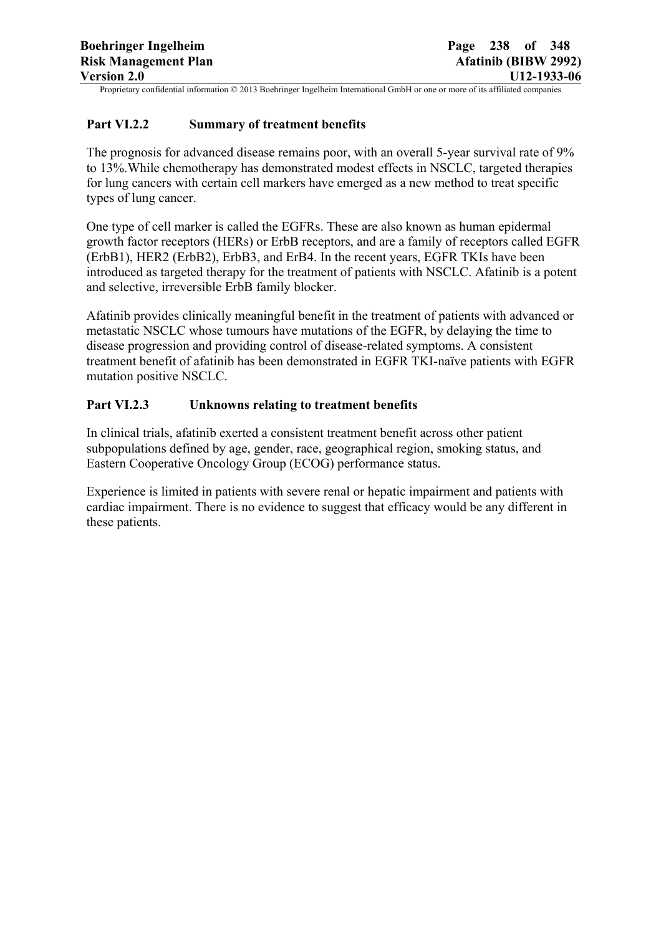## **Part VI.2.2 Summary of treatment benefits**

The prognosis for advanced disease remains poor, with an overall 5-year survival rate of 9% to 13%.While chemotherapy has demonstrated modest effects in NSCLC, targeted therapies for lung cancers with certain cell markers have emerged as a new method to treat specific types of lung cancer.

One type of cell marker is called the EGFRs. These are also known as human epidermal growth factor receptors (HERs) or ErbB receptors, and are a family of receptors called EGFR (ErbB1), HER2 (ErbB2), ErbB3, and ErB4. In the recent years, EGFR TKIs have been introduced as targeted therapy for the treatment of patients with NSCLC. Afatinib is a potent and selective, irreversible ErbB family blocker.

Afatinib provides clinically meaningful benefit in the treatment of patients with advanced or metastatic NSCLC whose tumours have mutations of the EGFR, by delaying the time to disease progression and providing control of disease-related symptoms. A consistent treatment benefit of afatinib has been demonstrated in EGFR TKI-naïve patients with EGFR mutation positive NSCLC.

## **Part VI.2.3 Unknowns relating to treatment benefits**

In clinical trials, afatinib exerted a consistent treatment benefit across other patient subpopulations defined by age, gender, race, geographical region, smoking status, and Eastern Cooperative Oncology Group (ECOG) performance status.

Experience is limited in patients with severe renal or hepatic impairment and patients with cardiac impairment. There is no evidence to suggest that efficacy would be any different in these patients.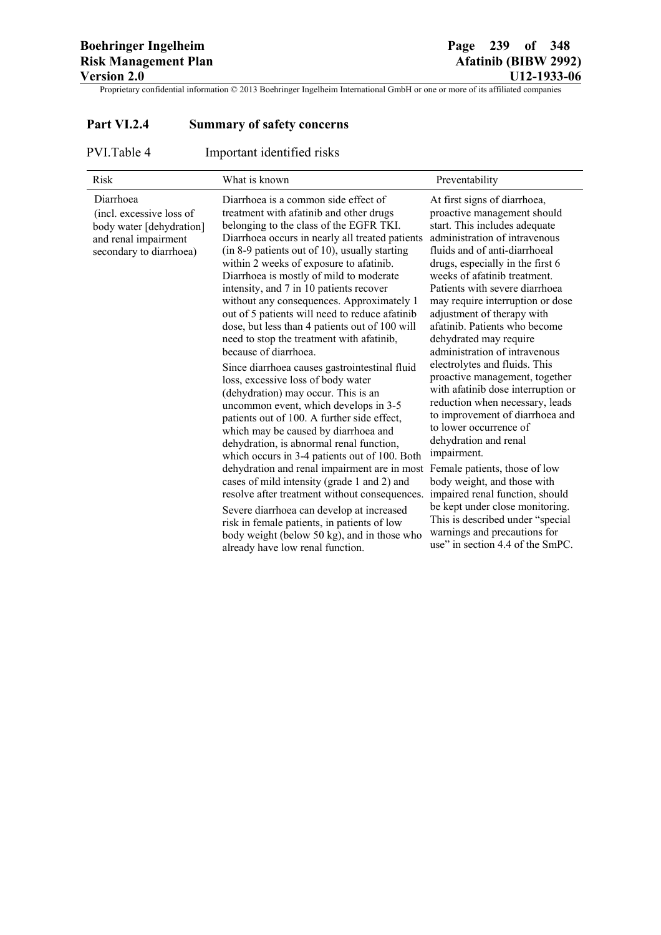# **Part VI.2.4 Summary of safety concerns**

PVI.Table 4 Important identified risks

| <b>Risk</b>                                                                                                          | What is known                                                                                                                                                                                                                                                                                                                                                                                                                                                                                                                                                                                                                                                                                                                                                                                                                                                                                                                                                                                                                                                                                                                                                                                                                                                                    | Preventability                                                                                                                                                                                                                                                                                                                                                                                                                                                                                                                                                                                                                                                                                                                                                                                                                                                                                                                    |
|----------------------------------------------------------------------------------------------------------------------|----------------------------------------------------------------------------------------------------------------------------------------------------------------------------------------------------------------------------------------------------------------------------------------------------------------------------------------------------------------------------------------------------------------------------------------------------------------------------------------------------------------------------------------------------------------------------------------------------------------------------------------------------------------------------------------------------------------------------------------------------------------------------------------------------------------------------------------------------------------------------------------------------------------------------------------------------------------------------------------------------------------------------------------------------------------------------------------------------------------------------------------------------------------------------------------------------------------------------------------------------------------------------------|-----------------------------------------------------------------------------------------------------------------------------------------------------------------------------------------------------------------------------------------------------------------------------------------------------------------------------------------------------------------------------------------------------------------------------------------------------------------------------------------------------------------------------------------------------------------------------------------------------------------------------------------------------------------------------------------------------------------------------------------------------------------------------------------------------------------------------------------------------------------------------------------------------------------------------------|
| Diarrhoea<br>(incl. excessive loss of<br>body water [dehydration]<br>and renal impairment<br>secondary to diarrhoea) | Diarrhoea is a common side effect of<br>treatment with afatinib and other drugs<br>belonging to the class of the EGFR TKI.<br>Diarrhoea occurs in nearly all treated patients<br>(in 8-9 patients out of 10), usually starting<br>within 2 weeks of exposure to afatinib.<br>Diarrhoea is mostly of mild to moderate<br>intensity, and 7 in 10 patients recover<br>without any consequences. Approximately 1<br>out of 5 patients will need to reduce afatinib<br>dose, but less than 4 patients out of 100 will<br>need to stop the treatment with afatinib,<br>because of diarrhoea.<br>Since diarrhoea causes gastrointestinal fluid<br>loss, excessive loss of body water<br>(dehydration) may occur. This is an<br>uncommon event, which develops in 3-5<br>patients out of 100. A further side effect,<br>which may be caused by diarrhoea and<br>dehydration, is abnormal renal function,<br>which occurs in 3-4 patients out of 100. Both<br>dehydration and renal impairment are in most<br>cases of mild intensity (grade 1 and 2) and<br>resolve after treatment without consequences.<br>Severe diarrhoea can develop at increased<br>risk in female patients, in patients of low<br>body weight (below 50 kg), and in those who<br>already have low renal function. | At first signs of diarrhoea,<br>proactive management should<br>start. This includes adequate<br>administration of intravenous<br>fluids and of anti-diarrhoeal<br>drugs, especially in the first 6<br>weeks of afatinib treatment.<br>Patients with severe diarrhoea<br>may require interruption or dose<br>adjustment of therapy with<br>afatinib. Patients who become<br>dehydrated may require<br>administration of intravenous<br>electrolytes and fluids. This<br>proactive management, together<br>with afatinib dose interruption or<br>reduction when necessary, leads<br>to improvement of diarrhoea and<br>to lower occurrence of<br>dehydration and renal<br>impairment.<br>Female patients, those of low<br>body weight, and those with<br>impaired renal function, should<br>be kept under close monitoring.<br>This is described under "special<br>warnings and precautions for<br>use" in section 4.4 of the SmPC. |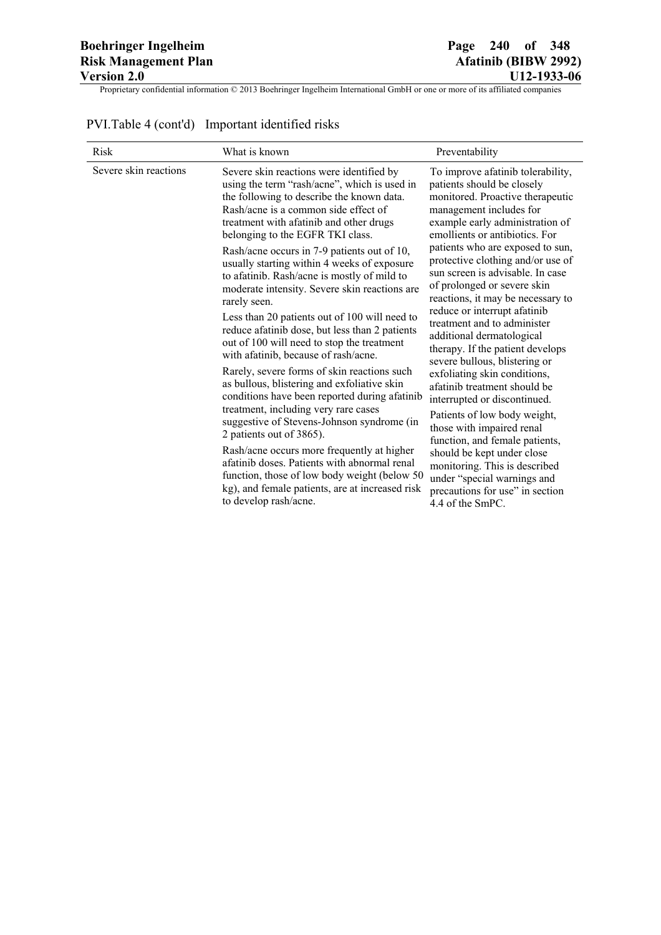|  | PVI. Table 4 (cont'd) Important identified risks |
|--|--------------------------------------------------|
|--|--------------------------------------------------|

| <b>Risk</b>           | What is known                                                                                                                                                                                                                                                                                                                                                                                                                                                                                                                                                                                                                                                                                                                                                                                                                                                                                                                                                                                                                                                                                                                         | Preventability                                                                                                                                                                                                                                                                                                                                                                                                                                                                                                                                                                                                                                                                                                                                                                                                                                                                        |
|-----------------------|---------------------------------------------------------------------------------------------------------------------------------------------------------------------------------------------------------------------------------------------------------------------------------------------------------------------------------------------------------------------------------------------------------------------------------------------------------------------------------------------------------------------------------------------------------------------------------------------------------------------------------------------------------------------------------------------------------------------------------------------------------------------------------------------------------------------------------------------------------------------------------------------------------------------------------------------------------------------------------------------------------------------------------------------------------------------------------------------------------------------------------------|---------------------------------------------------------------------------------------------------------------------------------------------------------------------------------------------------------------------------------------------------------------------------------------------------------------------------------------------------------------------------------------------------------------------------------------------------------------------------------------------------------------------------------------------------------------------------------------------------------------------------------------------------------------------------------------------------------------------------------------------------------------------------------------------------------------------------------------------------------------------------------------|
| Severe skin reactions | Severe skin reactions were identified by<br>using the term "rash/acne", which is used in<br>the following to describe the known data.<br>Rash/acne is a common side effect of<br>treatment with afatinib and other drugs<br>belonging to the EGFR TKI class.<br>Rash/acne occurs in 7-9 patients out of 10,<br>usually starting within 4 weeks of exposure<br>to afatinib. Rash/acne is mostly of mild to<br>moderate intensity. Severe skin reactions are<br>rarely seen.<br>Less than 20 patients out of 100 will need to<br>reduce afatinib dose, but less than 2 patients<br>out of 100 will need to stop the treatment<br>with afatinib, because of rash/acne.<br>Rarely, severe forms of skin reactions such<br>as bullous, blistering and exfoliative skin<br>conditions have been reported during afatinib<br>treatment, including very rare cases<br>suggestive of Stevens-Johnson syndrome (in<br>2 patients out of 3865).<br>Rash/acne occurs more frequently at higher<br>afatinib doses. Patients with abnormal renal<br>function, those of low body weight (below 50<br>kg), and female patients, are at increased risk | To improve afatinib tolerability,<br>patients should be closely<br>monitored. Proactive therapeutic<br>management includes for<br>example early administration of<br>emollients or antibiotics. For<br>patients who are exposed to sun,<br>protective clothing and/or use of<br>sun screen is advisable. In case<br>of prolonged or severe skin<br>reactions, it may be necessary to<br>reduce or interrupt afatinib<br>treatment and to administer<br>additional dermatological<br>therapy. If the patient develops<br>severe bullous, blistering or<br>exfoliating skin conditions,<br>afatinib treatment should be<br>interrupted or discontinued.<br>Patients of low body weight,<br>those with impaired renal<br>function, and female patients,<br>should be kept under close<br>monitoring. This is described<br>under "special warnings and<br>precautions for use" in section |
|                       | to develop rash/acne.                                                                                                                                                                                                                                                                                                                                                                                                                                                                                                                                                                                                                                                                                                                                                                                                                                                                                                                                                                                                                                                                                                                 | 4.4 of the SmPC.                                                                                                                                                                                                                                                                                                                                                                                                                                                                                                                                                                                                                                                                                                                                                                                                                                                                      |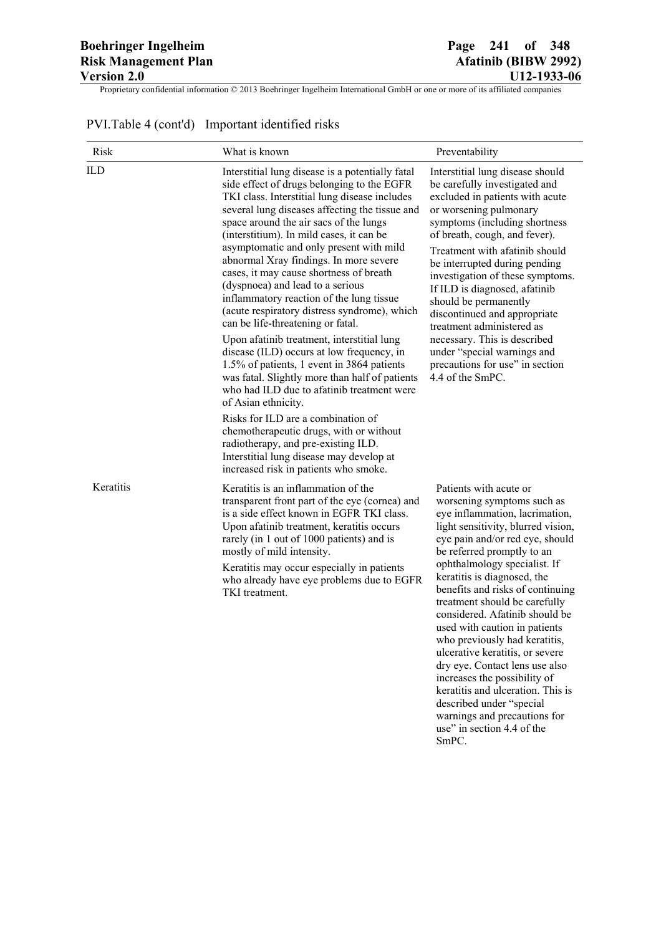keratitis and ulceration. This is described under "special warnings and precautions for use" in section 4.4 of the

SmPC.

Proprietary confidential information © 2013 Boehringer Ingelheim International GmbH or one or more of its affiliated companies

| Risk      | What is known                                                                                                                                                                                                                                                                                                                                                                                                                                                                                                                                                                                | Preventability                                                                                                                                                                                                                                                                                                                                                                                                                                                                                                                             |
|-----------|----------------------------------------------------------------------------------------------------------------------------------------------------------------------------------------------------------------------------------------------------------------------------------------------------------------------------------------------------------------------------------------------------------------------------------------------------------------------------------------------------------------------------------------------------------------------------------------------|--------------------------------------------------------------------------------------------------------------------------------------------------------------------------------------------------------------------------------------------------------------------------------------------------------------------------------------------------------------------------------------------------------------------------------------------------------------------------------------------------------------------------------------------|
| ILD       | Interstitial lung disease is a potentially fatal<br>side effect of drugs belonging to the EGFR<br>TKI class. Interstitial lung disease includes<br>several lung diseases affecting the tissue and<br>space around the air sacs of the lungs<br>(interstitium). In mild cases, it can be<br>asymptomatic and only present with mild<br>abnormal Xray findings. In more severe<br>cases, it may cause shortness of breath<br>(dyspnoea) and lead to a serious<br>inflammatory reaction of the lung tissue<br>(acute respiratory distress syndrome), which<br>can be life-threatening or fatal. | Interstitial lung disease should<br>be carefully investigated and<br>excluded in patients with acute<br>or worsening pulmonary<br>symptoms (including shortness<br>of breath, cough, and fever).<br>Treatment with afatinib should<br>be interrupted during pending<br>investigation of these symptoms.<br>If ILD is diagnosed, afatinib<br>should be permanently<br>discontinued and appropriate<br>treatment administered as                                                                                                             |
|           | Upon afatinib treatment, interstitial lung<br>disease (ILD) occurs at low frequency, in<br>1.5% of patients, 1 event in 3864 patients<br>was fatal. Slightly more than half of patients<br>who had ILD due to afatinib treatment were<br>of Asian ethnicity.<br>Risks for ILD are a combination of<br>chemotherapeutic drugs, with or without<br>radiotherapy, and pre-existing ILD.<br>Interstitial lung disease may develop at<br>increased risk in patients who smoke.                                                                                                                    | necessary. This is described<br>under "special warnings and<br>precautions for use" in section<br>4.4 of the SmPC.                                                                                                                                                                                                                                                                                                                                                                                                                         |
| Keratitis | Keratitis is an inflammation of the<br>transparent front part of the eye (cornea) and<br>is a side effect known in EGFR TKI class.<br>Upon afatinib treatment, keratitis occurs<br>rarely (in 1 out of 1000 patients) and is<br>mostly of mild intensity.<br>Keratitis may occur especially in patients<br>who already have eye problems due to EGFR<br>TKI treatment.                                                                                                                                                                                                                       | Patients with acute or<br>worsening symptoms such as<br>eye inflammation, lacrimation,<br>light sensitivity, blurred vision,<br>eye pain and/or red eye, should<br>be referred promptly to an<br>ophthalmology specialist. If<br>keratitis is diagnosed, the<br>benefits and risks of continuing<br>treatment should be carefully<br>considered. Afatinib should be<br>used with caution in patients<br>who previously had keratitis,<br>ulcerative keratitis, or severe<br>dry eye. Contact lens use also<br>increases the possibility of |

# PVI.Table 4 (cont'd) Important identified risks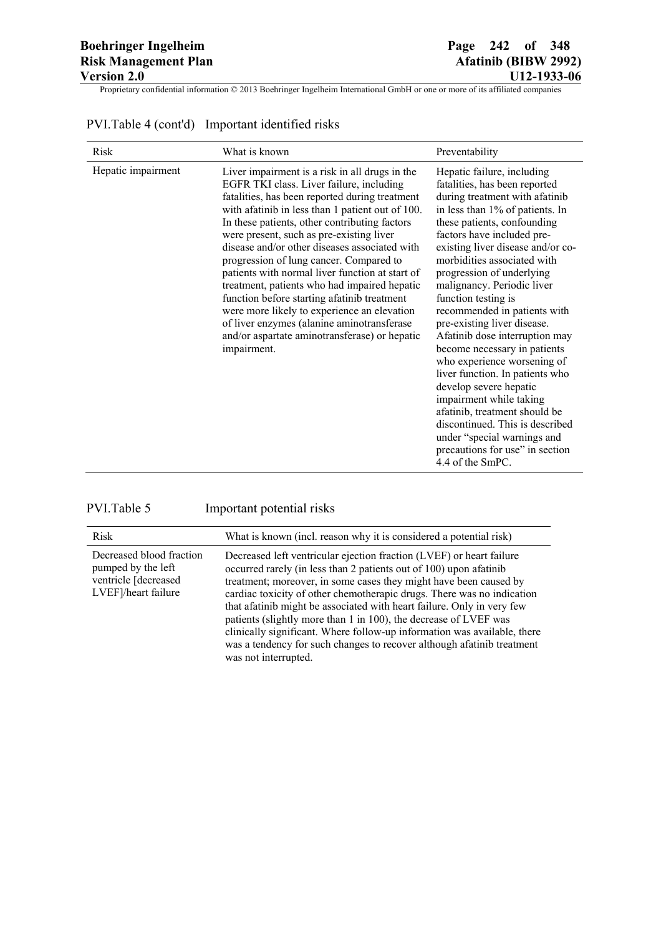|  | PVI. Table 4 (cont'd) Important identified risks |
|--|--------------------------------------------------|
|--|--------------------------------------------------|

| <b>Risk</b>        | What is known                                                                                                                                                                                                                                                                                                                                                                                                                                                                                                                                                                                                                                                                                             | Preventability                                                                                                                                                                                                                                                                                                                                                                                                                                                                                                                                                                                                                                                                                                                                                        |
|--------------------|-----------------------------------------------------------------------------------------------------------------------------------------------------------------------------------------------------------------------------------------------------------------------------------------------------------------------------------------------------------------------------------------------------------------------------------------------------------------------------------------------------------------------------------------------------------------------------------------------------------------------------------------------------------------------------------------------------------|-----------------------------------------------------------------------------------------------------------------------------------------------------------------------------------------------------------------------------------------------------------------------------------------------------------------------------------------------------------------------------------------------------------------------------------------------------------------------------------------------------------------------------------------------------------------------------------------------------------------------------------------------------------------------------------------------------------------------------------------------------------------------|
| Hepatic impairment | Liver impairment is a risk in all drugs in the<br>EGFR TKI class. Liver failure, including<br>fatalities, has been reported during treatment<br>with a fatinib in less than 1 patient out of 100.<br>In these patients, other contributing factors<br>were present, such as pre-existing liver<br>disease and/or other diseases associated with<br>progression of lung cancer. Compared to<br>patients with normal liver function at start of<br>treatment, patients who had impaired hepatic<br>function before starting afatinib treatment<br>were more likely to experience an elevation<br>of liver enzymes (alanine aminotransferase<br>and/or aspartate aminotransferase) or hepatic<br>impairment. | Hepatic failure, including<br>fatalities, has been reported<br>during treatment with afatinib<br>in less than 1% of patients. In<br>these patients, confounding<br>factors have included pre-<br>existing liver disease and/or co-<br>morbidities associated with<br>progression of underlying<br>malignancy. Periodic liver<br>function testing is<br>recommended in patients with<br>pre-existing liver disease.<br>Afatinib dose interruption may<br>become necessary in patients<br>who experience worsening of<br>liver function. In patients who<br>develop severe hepatic<br>impairment while taking<br>afatinib, treatment should be<br>discontinued. This is described<br>under "special warnings and<br>precautions for use" in section<br>4.4 of the SmPC. |

| PVI.Table 5                                                                                   | Important potential risks                                                                                                                                                                                                                                                                                                                                                                                                                                                                                                                                                                                             |
|-----------------------------------------------------------------------------------------------|-----------------------------------------------------------------------------------------------------------------------------------------------------------------------------------------------------------------------------------------------------------------------------------------------------------------------------------------------------------------------------------------------------------------------------------------------------------------------------------------------------------------------------------------------------------------------------------------------------------------------|
| Risk                                                                                          | What is known (incl. reason why it is considered a potential risk)                                                                                                                                                                                                                                                                                                                                                                                                                                                                                                                                                    |
| Decreased blood fraction<br>pumped by the left<br>ventricle [decreased<br>LVEF]/heart failure | Decreased left ventricular ejection fraction (LVEF) or heart failure<br>occurred rarely (in less than 2 patients out of 100) upon afatinib<br>treatment; moreover, in some cases they might have been caused by<br>cardiac toxicity of other chemotherapic drugs. There was no indication<br>that afatinib might be associated with heart failure. Only in very few<br>patients (slightly more than 1 in 100), the decrease of LVEF was<br>clinically significant. Where follow-up information was available, there<br>was a tendency for such changes to recover although afatinib treatment<br>was not interrupted. |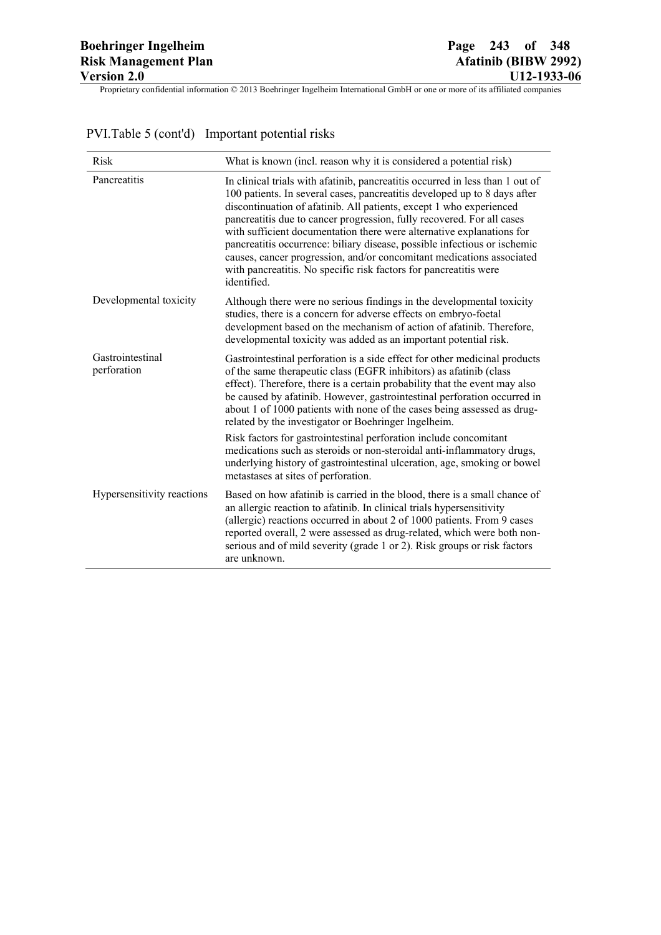| <b>Risk</b>                     | What is known (incl. reason why it is considered a potential risk)                                                                                                                                                                                                                                                                                                                                                                                                                                                                                                                                                              |
|---------------------------------|---------------------------------------------------------------------------------------------------------------------------------------------------------------------------------------------------------------------------------------------------------------------------------------------------------------------------------------------------------------------------------------------------------------------------------------------------------------------------------------------------------------------------------------------------------------------------------------------------------------------------------|
| Pancreatitis                    | In clinical trials with a fatinib, pancreatitis occurred in less than 1 out of<br>100 patients. In several cases, pancreatitis developed up to 8 days after<br>discontinuation of afatinib. All patients, except 1 who experienced<br>pancreatitis due to cancer progression, fully recovered. For all cases<br>with sufficient documentation there were alternative explanations for<br>pancreatitis occurrence: biliary disease, possible infectious or ischemic<br>causes, cancer progression, and/or concomitant medications associated<br>with pancreatitis. No specific risk factors for pancreatitis were<br>identified. |
| Developmental toxicity          | Although there were no serious findings in the developmental toxicity<br>studies, there is a concern for adverse effects on embryo-foetal<br>development based on the mechanism of action of afatinib. Therefore,<br>developmental toxicity was added as an important potential risk.                                                                                                                                                                                                                                                                                                                                           |
| Gastrointestinal<br>perforation | Gastrointestinal perforation is a side effect for other medicinal products<br>of the same therapeutic class (EGFR inhibitors) as afatinib (class<br>effect). Therefore, there is a certain probability that the event may also<br>be caused by afatinib. However, gastrointestinal perforation occurred in<br>about 1 of 1000 patients with none of the cases being assessed as drug-<br>related by the investigator or Boehringer Ingelheim.                                                                                                                                                                                   |
|                                 | Risk factors for gastrointestinal perforation include concomitant<br>medications such as steroids or non-steroidal anti-inflammatory drugs,<br>underlying history of gastrointestinal ulceration, age, smoking or bowel<br>metastases at sites of perforation.                                                                                                                                                                                                                                                                                                                                                                  |
| Hypersensitivity reactions      | Based on how afatinib is carried in the blood, there is a small chance of<br>an allergic reaction to afatinib. In clinical trials hypersensitivity<br>(allergic) reactions occurred in about 2 of 1000 patients. From 9 cases<br>reported overall, 2 were assessed as drug-related, which were both non-<br>serious and of mild severity (grade 1 or 2). Risk groups or risk factors<br>are unknown.                                                                                                                                                                                                                            |

# PVI.Table 5 (cont'd) Important potential risks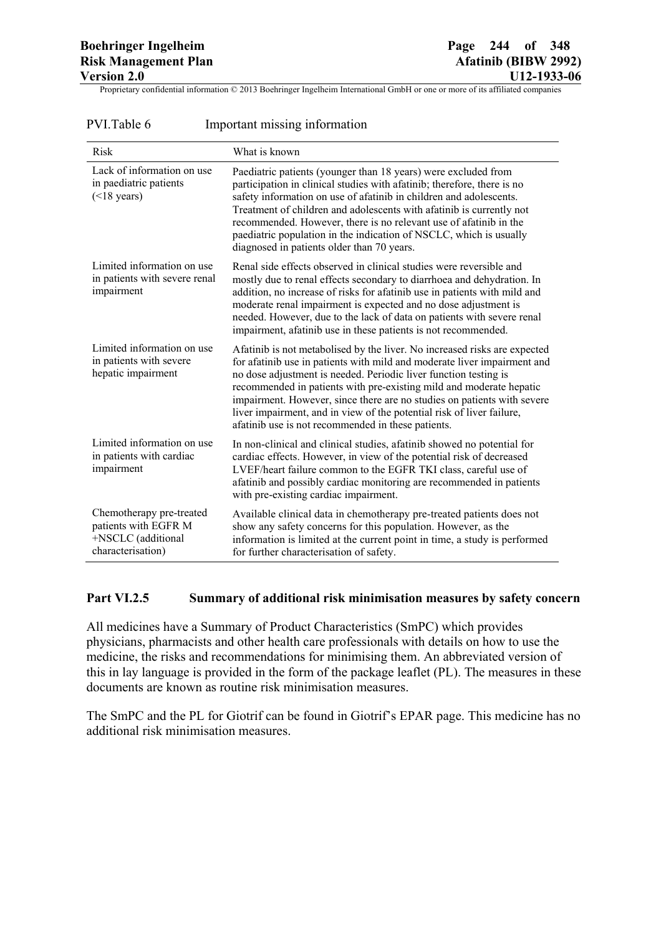| PVI.Table 6 |  | Important missing information |  |
|-------------|--|-------------------------------|--|
|             |  |                               |  |

| <b>Risk</b>                                                                                 | What is known                                                                                                                                                                                                                                                                                                                                                                                                                                                                                              |
|---------------------------------------------------------------------------------------------|------------------------------------------------------------------------------------------------------------------------------------------------------------------------------------------------------------------------------------------------------------------------------------------------------------------------------------------------------------------------------------------------------------------------------------------------------------------------------------------------------------|
| Lack of information on use<br>in paediatric patients<br>$(<$ 18 years)                      | Paediatric patients (younger than 18 years) were excluded from<br>participation in clinical studies with afatinib; therefore, there is no<br>safety information on use of afatinib in children and adolescents.<br>Treatment of children and adolescents with afatinib is currently not<br>recommended. However, there is no relevant use of afatinib in the<br>paediatric population in the indication of NSCLC, which is usually<br>diagnosed in patients older than 70 years.                           |
| Limited information on use<br>in patients with severe renal<br>impairment                   | Renal side effects observed in clinical studies were reversible and<br>mostly due to renal effects secondary to diarrhoea and dehydration. In<br>addition, no increase of risks for afatinib use in patients with mild and<br>moderate renal impairment is expected and no dose adjustment is<br>needed. However, due to the lack of data on patients with severe renal<br>impairment, afatinib use in these patients is not recommended.                                                                  |
| Limited information on use<br>in patients with severe<br>hepatic impairment                 | Afatinib is not metabolised by the liver. No increased risks are expected<br>for afatinib use in patients with mild and moderate liver impairment and<br>no dose adjustment is needed. Periodic liver function testing is<br>recommended in patients with pre-existing mild and moderate hepatic<br>impairment. However, since there are no studies on patients with severe<br>liver impairment, and in view of the potential risk of liver failure,<br>afatinib use is not recommended in these patients. |
| Limited information on use<br>in patients with cardiac<br>impairment                        | In non-clinical and clinical studies, afatinib showed no potential for<br>cardiac effects. However, in view of the potential risk of decreased<br>LVEF/heart failure common to the EGFR TKI class, careful use of<br>afatinib and possibly cardiac monitoring are recommended in patients<br>with pre-existing cardiac impairment.                                                                                                                                                                         |
| Chemotherapy pre-treated<br>patients with EGFR M<br>+NSCLC (additional<br>characterisation) | Available clinical data in chemotherapy pre-treated patients does not<br>show any safety concerns for this population. However, as the<br>information is limited at the current point in time, a study is performed<br>for further characterisation of safety.                                                                                                                                                                                                                                             |

## **Part VI.2.5 Summary of additional risk minimisation measures by safety concern**

All medicines have a Summary of Product Characteristics (SmPC) which provides physicians, pharmacists and other health care professionals with details on how to use the medicine, the risks and recommendations for minimising them. An abbreviated version of this in lay language is provided in the form of the package leaflet (PL). The measures in these documents are known as routine risk minimisation measures.

The SmPC and the PL for Giotrif can be found in Giotrif's EPAR page. This medicine has no additional risk minimisation measures.